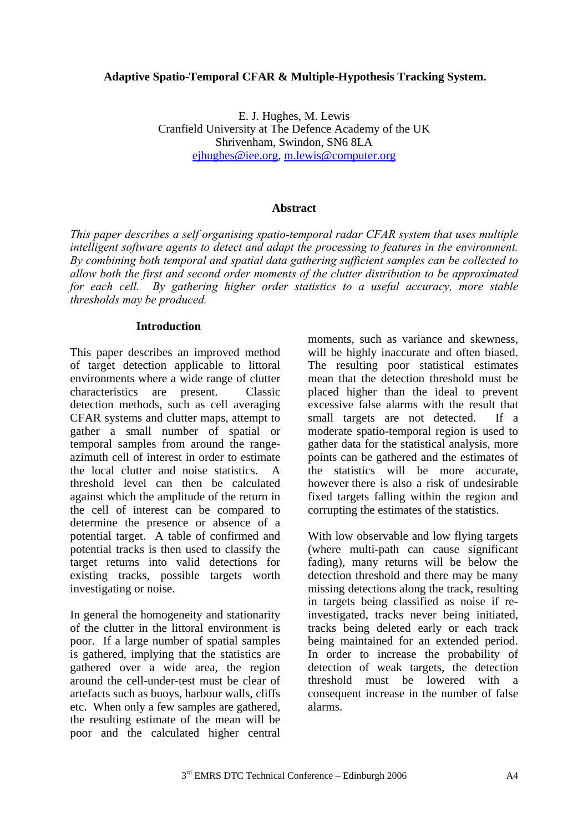### **Adaptive Spatio-Temporal CFAR & Multiple-Hypothesis Tracking System.**

E. J. Hughes, M. Lewis Cranfield University at The Defence Academy of the UK Shrivenham, Swindon, SN6 8LA ejhughes@iee.org, m.lewis@computer.org

## **Abstract**

*This paper describes a self organising spatio-temporal radar CFAR system that uses multiple intelligent software agents to detect and adapt the processing to features in the environment. By combining both temporal and spatial data gathering sufficient samples can be collected to allow both the first and second order moments of the clutter distribution to be approximated for each cell. By gathering higher order statistics to a useful accuracy, more stable thresholds may be produced.*

## **Introduction**

This paper describes an improved method of target detection applicable to littoral environments where a wide range of clutter characteristics are present. Classic detection methods, such as cell averaging CFAR systems and clutter maps, attempt to gather a small number of spatial or temporal samples from around the rangeazimuth cell of interest in order to estimate the local clutter and noise statistics. A threshold level can then be calculated against which the amplitude of the return in the cell of interest can be compared to determine the presence or absence of a potential target. A table of confirmed and potential tracks is then used to classify the target returns into valid detections for existing tracks, possible targets worth investigating or noise.

In general the homogeneity and stationarity of the clutter in the littoral environment is poor. If a large number of spatial samples is gathered, implying that the statistics are gathered over a wide area, the region around the cell-under-test must be clear of artefacts such as buoys, harbour walls, cliffs etc. When only a few samples are gathered, the resulting estimate of the mean will be poor and the calculated higher central

moments, such as variance and skewness, will be highly inaccurate and often biased. The resulting poor statistical estimates mean that the detection threshold must be placed higher than the ideal to prevent excessive false alarms with the result that small targets are not detected. If a moderate spatio-temporal region is used to gather data for the statistical analysis, more points can be gathered and the estimates of the statistics will be more accurate, however there is also a risk of undesirable fixed targets falling within the region and corrupting the estimates of the statistics.

With low observable and low flying targets (where multi-path can cause significant fading), many returns will be below the detection threshold and there may be many missing detections along the track, resulting in targets being classified as noise if reinvestigated, tracks never being initiated, tracks being deleted early or each track being maintained for an extended period. In order to increase the probability of detection of weak targets, the detection threshold must be lowered with a consequent increase in the number of false alarms.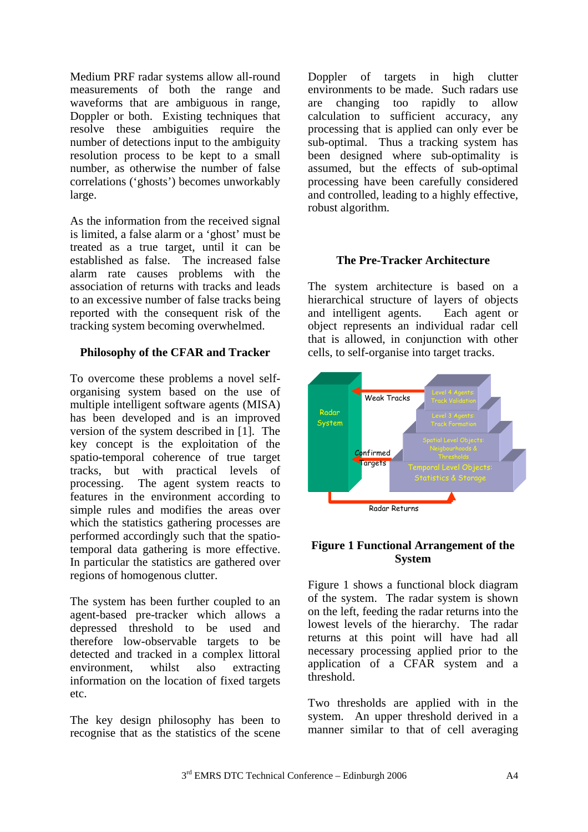Medium PRF radar systems allow all-round measurements of both the range and waveforms that are ambiguous in range, Doppler or both. Existing techniques that resolve these ambiguities require the number of detections input to the ambiguity resolution process to be kept to a small number, as otherwise the number of false correlations ('ghosts') becomes unworkably large.

As the information from the received signal is limited, a false alarm or a 'ghost' must be treated as a true target, until it can be established as false. The increased false alarm rate causes problems with the association of returns with tracks and leads to an excessive number of false tracks being reported with the consequent risk of the tracking system becoming overwhelmed.

### **Philosophy of the CFAR and Tracker**

To overcome these problems a novel selforganising system based on the use of multiple intelligent software agents (MISA) has been developed and is an improved version of the system described in [1]. The key concept is the exploitation of the spatio-temporal coherence of true target tracks, but with practical levels of processing. The agent system reacts to features in the environment according to simple rules and modifies the areas over which the statistics gathering processes are performed accordingly such that the spatiotemporal data gathering is more effective. In particular the statistics are gathered over regions of homogenous clutter.

The system has been further coupled to an agent-based pre-tracker which allows a depressed threshold to be used and therefore low-observable targets to be detected and tracked in a complex littoral environment, whilst also extracting information on the location of fixed targets etc.

The key design philosophy has been to recognise that as the statistics of the scene Doppler of targets in high clutter environments to be made. Such radars use are changing too rapidly to allow calculation to sufficient accuracy, any processing that is applied can only ever be sub-optimal. Thus a tracking system has been designed where sub-optimality is assumed, but the effects of sub-optimal processing have been carefully considered and controlled, leading to a highly effective, robust algorithm.

## **The Pre-Tracker Architecture**

The system architecture is based on a hierarchical structure of layers of objects and intelligent agents. Each agent or object represents an individual radar cell that is allowed, in conjunction with other cells, to self-organise into target tracks.



# **Figure 1 Functional Arrangement of the System**

Figure 1 shows a functional block diagram of the system. The radar system is shown on the left, feeding the radar returns into the lowest levels of the hierarchy. The radar returns at this point will have had all necessary processing applied prior to the application of a CFAR system and a threshold.

Two thresholds are applied with in the system. An upper threshold derived in a manner similar to that of cell averaging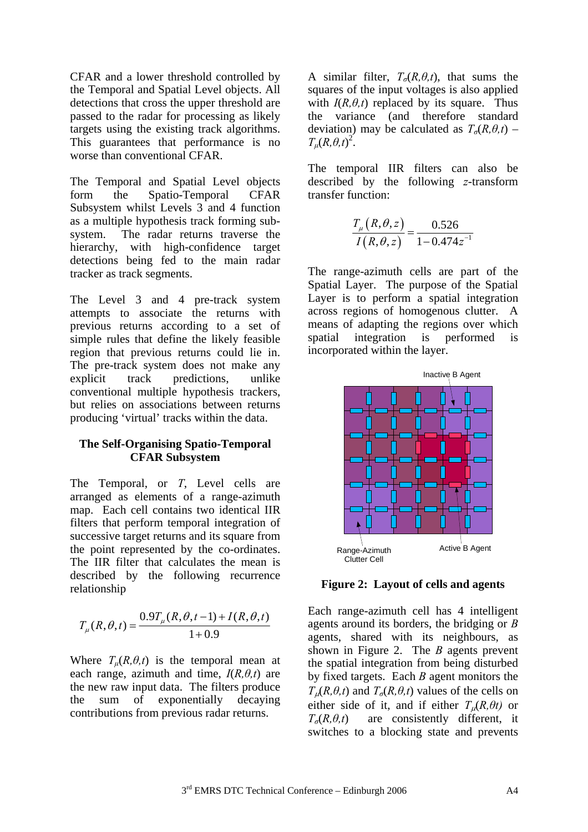CFAR and a lower threshold controlled by the Temporal and Spatial Level objects. All detections that cross the upper threshold are passed to the radar for processing as likely targets using the existing track algorithms. This guarantees that performance is no worse than conventional CFAR.

The Temporal and Spatial Level objects form the Spatio-Temporal CFAR Subsystem whilst Levels 3 and 4 function as a multiple hypothesis track forming subsystem. The radar returns traverse the hierarchy, with high-confidence target detections being fed to the main radar tracker as track segments.

The Level 3 and 4 pre-track system attempts to associate the returns with previous returns according to a set of simple rules that define the likely feasible region that previous returns could lie in. The pre-track system does not make any explicit track predictions, unlike conventional multiple hypothesis trackers, but relies on associations between returns producing 'virtual' tracks within the data.

### **The Self-Organising Spatio-Temporal CFAR Subsystem**

The Temporal, or *T*, Level cells are arranged as elements of a range-azimuth map. Each cell contains two identical IIR filters that perform temporal integration of successive target returns and its square from the point represented by the co-ordinates. The IIR filter that calculates the mean is described by the following recurrence relationship

$$
T_{\mu}(R,\theta,t) = \frac{0.9T_{\mu}(R,\theta,t-1) + I(R,\theta,t)}{1+0.9}
$$

Where  $T_u(R, \theta, t)$  is the temporal mean at each range, azimuth and time,  $I(R, \theta, t)$  are the new raw input data. The filters produce the sum of exponentially decaying contributions from previous radar returns.

A similar filter,  $T_{\sigma}(R, \theta, t)$ , that sums the squares of the input voltages is also applied with  $I(R, \theta, t)$  replaced by its square. Thus the variance (and therefore standard deviation) may be calculated as  $T_{\sigma}(R, \theta, t)$  –  $T_{\mu}(R,\theta,t)^2$ .

The temporal IIR filters can also be described by the following *z*-transform transfer function:

$$
\frac{T_{\mu}(R,\theta,z)}{I(R,\theta,z)} = \frac{0.526}{1 - 0.474z^{-1}}
$$

The range-azimuth cells are part of the Spatial Layer. The purpose of the Spatial Layer is to perform a spatial integration across regions of homogenous clutter. A means of adapting the regions over which spatial integration is performed is incorporated within the layer.



**Figure 2: Layout of cells and agents** 

Each range-azimuth cell has 4 intelligent agents around its borders, the bridging or *B* agents, shared with its neighbours, as shown in Figure 2. The *B* agents prevent the spatial integration from being disturbed by fixed targets. Each *B* agent monitors the  $T_u(R, \theta, t)$  and  $T_\sigma(R, \theta, t)$  values of the cells on either side of it, and if either  $T_{\mu}(R,\theta t)$  or  $T_{\sigma}(R,\theta,t)$  are consistently different, it switches to a blocking state and prevents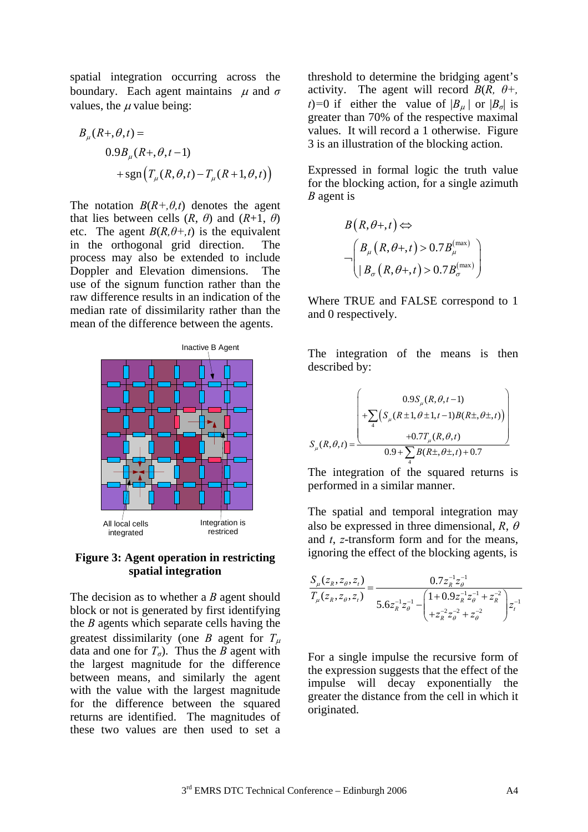spatial integration occurring across the boundary. Each agent maintains  $\mu$  and  $\sigma$ values, the  $\mu$  value being:

$$
B_{\mu}(R+\theta,t) =
$$
  

$$
0.9B_{\mu}(R+\theta,t-1)
$$
  

$$
+ \operatorname{sgn} (T_{\mu}(R,\theta,t) - T_{\mu}(R+1,\theta,t))
$$

The notation  $B(R+,\theta,t)$  denotes the agent that lies between cells  $(R, \theta)$  and  $(R+1, \theta)$ etc. The agent  $B(R, \theta + t)$  is the equivalent in the orthogonal grid direction. The process may also be extended to include Doppler and Elevation dimensions. The use of the signum function rather than the raw difference results in an indication of the median rate of dissimilarity rather than the mean of the difference between the agents.



#### **Figure 3: Agent operation in restricting spatial integration**

The decision as to whether a *B* agent should block or not is generated by first identifying the *B* agents which separate cells having the greatest dissimilarity (one *B* agent for  $T_{\mu}$ data and one for  $T_{\sigma}$ ). Thus the *B* agent with the largest magnitude for the difference between means, and similarly the agent with the value with the largest magnitude for the difference between the squared returns are identified. The magnitudes of these two values are then used to set a threshold to determine the bridging agent's activity. The agent will record  $B(R, \theta)$ <sup>+</sup>, *t*)=0 if either the value of  $|B_u|$  or  $|B_d|$  is greater than 70% of the respective maximal values. It will record a 1 otherwise. Figure 3 is an illustration of the blocking action.

Expressed in formal logic the truth value for the blocking action, for a single azimuth *B* agent is

$$
B(R, \theta+, t) \Leftrightarrow
$$
  
\n
$$
\neg \begin{pmatrix} B_{\mu}(R, \theta+, t) > 0.7 B_{\mu}^{(\text{max})} \\ B_{\sigma}(R, \theta+, t) > 0.7 B_{\sigma}^{(\text{max})} \end{pmatrix}
$$

Where TRUE and FALSE correspond to 1 and 0 respectively.

The integration of the means is then described by:

$$
S_{\mu}(R,\theta,t) = \frac{\left(1 + \sum_{4} \left(S_{\mu}(R \pm 1, \theta \pm 1, t-1)B(R \pm \theta \pm t)\right)\right)}{1 + 0.7T_{\mu}(R,\theta,t)}
$$
  

$$
S_{\mu}(R,\theta,t) = \frac{1 + 0.7T_{\mu}(R,\theta,t)}{0.9 + \sum_{4} B(R \pm \theta \pm t) + 0.7}
$$

The integration of the squared returns is performed in a similar manner.

The spatial and temporal integration may also be expressed in three dimensional, *R*, θ and *t*, *z*-transform form and for the means, ignoring the effect of the blocking agents, is

$$
\frac{S_{\mu}(z_R, z_{\theta}, z_t)}{T_{\mu}(z_R, z_{\theta}, z_t)} = \frac{0.7z_R^{-1}z_{\theta}^{-1}}{5.6z_R^{-1}z_{\theta}^{-1} - \left(1 + 0.9z_R^{-1}z_{\theta}^{-1} + z_R^{-2}\right)z_t^{-1}} z_t^{-1}
$$

For a single impulse the recursive form of the expression suggests that the effect of the impulse will decay exponentially the greater the distance from the cell in which it originated.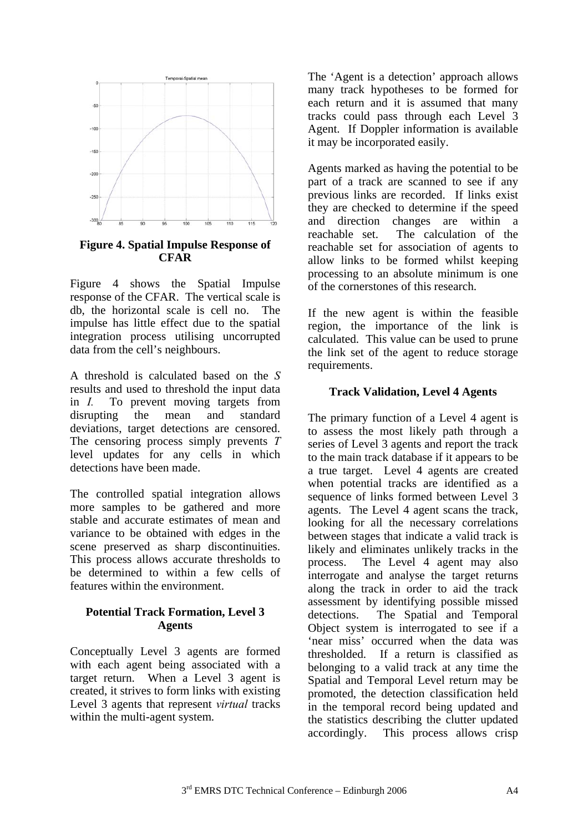

**Figure 4. Spatial Impulse Response of CFAR** 

Figure 4 shows the Spatial Impulse response of the CFAR. The vertical scale is db, the horizontal scale is cell no. The impulse has little effect due to the spatial integration process utilising uncorrupted data from the cell's neighbours.

A threshold is calculated based on the *S* results and used to threshold the input data in *I.* To prevent moving targets from disrupting the mean and standard deviations, target detections are censored. The censoring process simply prevents *T* level updates for any cells in which detections have been made.

The controlled spatial integration allows more samples to be gathered and more stable and accurate estimates of mean and variance to be obtained with edges in the scene preserved as sharp discontinuities. This process allows accurate thresholds to be determined to within a few cells of features within the environment.

### **Potential Track Formation, Level 3 Agents**

Conceptually Level 3 agents are formed with each agent being associated with a target return. When a Level 3 agent is created, it strives to form links with existing Level 3 agents that represent *virtual* tracks within the multi-agent system.

The 'Agent is a detection' approach allows many track hypotheses to be formed for each return and it is assumed that many tracks could pass through each Level 3 Agent. If Doppler information is available it may be incorporated easily.

Agents marked as having the potential to be part of a track are scanned to see if any previous links are recorded. If links exist they are checked to determine if the speed and direction changes are within a reachable set. The calculation of the reachable set for association of agents to allow links to be formed whilst keeping processing to an absolute minimum is one of the cornerstones of this research.

If the new agent is within the feasible region, the importance of the link is calculated. This value can be used to prune the link set of the agent to reduce storage requirements.

# **Track Validation, Level 4 Agents**

The primary function of a Level 4 agent is to assess the most likely path through a series of Level 3 agents and report the track to the main track database if it appears to be a true target. Level 4 agents are created when potential tracks are identified as a sequence of links formed between Level 3 agents. The Level 4 agent scans the track, looking for all the necessary correlations between stages that indicate a valid track is likely and eliminates unlikely tracks in the process. The Level 4 agent may also interrogate and analyse the target returns along the track in order to aid the track assessment by identifying possible missed detections. The Spatial and Temporal Object system is interrogated to see if a 'near miss' occurred when the data was thresholded. If a return is classified as belonging to a valid track at any time the Spatial and Temporal Level return may be promoted, the detection classification held in the temporal record being updated and the statistics describing the clutter updated accordingly. This process allows crisp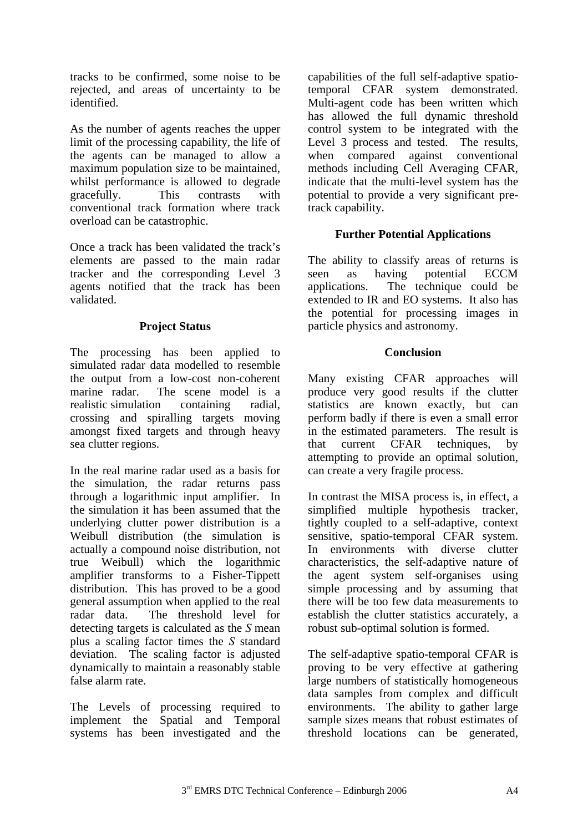tracks to be confirmed, some noise to be rejected, and areas of uncertainty to be identified.

As the number of agents reaches the upper limit of the processing capability, the life of the agents can be managed to allow a maximum population size to be maintained, whilst performance is allowed to degrade gracefully. This contrasts with conventional track formation where track overload can be catastrophic.

Once a track has been validated the track's elements are passed to the main radar tracker and the corresponding Level 3 agents notified that the track has been validated.

## **Project Status**

The processing has been applied to simulated radar data modelled to resemble the output from a low-cost non-coherent marine radar. The scene model is a realistic simulation containing radial, crossing and spiralling targets moving amongst fixed targets and through heavy sea clutter regions.

In the real marine radar used as a basis for the simulation, the radar returns pass through a logarithmic input amplifier. In the simulation it has been assumed that the underlying clutter power distribution is a Weibull distribution (the simulation is actually a compound noise distribution, not true Weibull) which the logarithmic amplifier transforms to a Fisher-Tippett distribution. This has proved to be a good general assumption when applied to the real radar data. The threshold level for detecting targets is calculated as the *S* mean plus a scaling factor times the *S* standard deviation. The scaling factor is adjusted dynamically to maintain a reasonably stable false alarm rate.

The Levels of processing required to implement the Spatial and Temporal systems has been investigated and the capabilities of the full self-adaptive spatiotemporal CFAR system demonstrated. Multi-agent code has been written which has allowed the full dynamic threshold control system to be integrated with the Level 3 process and tested. The results, when compared against conventional methods including Cell Averaging CFAR, indicate that the multi-level system has the potential to provide a very significant pretrack capability.

# **Further Potential Applications**

The ability to classify areas of returns is seen as having potential ECCM applications. The technique could be extended to IR and EO systems. It also has the potential for processing images in particle physics and astronomy.

## **Conclusion**

Many existing CFAR approaches will produce very good results if the clutter statistics are known exactly, but can perform badly if there is even a small error in the estimated parameters. The result is that current CFAR techniques, by attempting to provide an optimal solution, can create a very fragile process.

In contrast the MISA process is, in effect, a simplified multiple hypothesis tracker. tightly coupled to a self-adaptive, context sensitive, spatio-temporal CFAR system. In environments with diverse clutter characteristics, the self-adaptive nature of the agent system self-organises using simple processing and by assuming that there will be too few data measurements to establish the clutter statistics accurately, a robust sub-optimal solution is formed.

The self-adaptive spatio-temporal CFAR is proving to be very effective at gathering large numbers of statistically homogeneous data samples from complex and difficult environments. The ability to gather large sample sizes means that robust estimates of threshold locations can be generated,